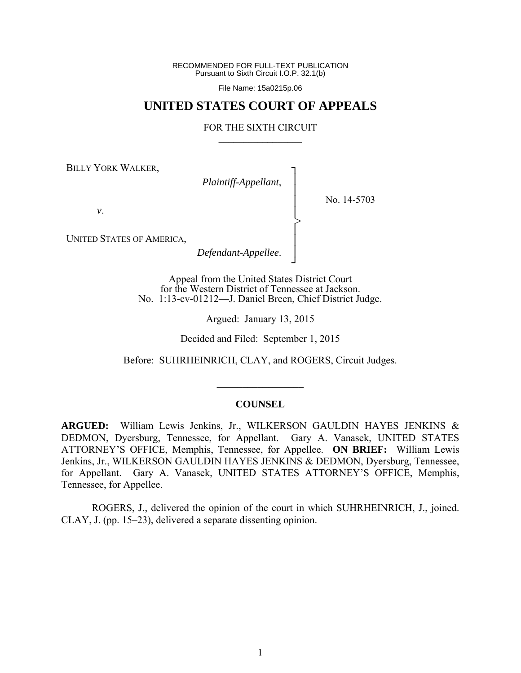RECOMMENDED FOR FULL-TEXT PUBLICATION Pursuant to Sixth Circuit I.O.P. 32.1(b)

File Name: 15a0215p.06

# **UNITED STATES COURT OF APPEALS**

#### FOR THE SIXTH CIRCUIT  $\mathcal{L}_\text{max}$

┐ │ │ │ │ │ │ │ ┘

>

BILLY YORK WALKER,

*Plaintiff-Appellant*,

No. 14-5703

*v*.

UNITED STATES OF AMERICA,

*Defendant-Appellee*.

Appeal from the United States District Court for the Western District of Tennessee at Jackson. No. 1:13-cv-01212—J. Daniel Breen, Chief District Judge.

Argued: January 13, 2015

Decided and Filed: September 1, 2015

Before: SUHRHEINRICH, CLAY, and ROGERS, Circuit Judges.

 $\frac{1}{2}$ 

#### **COUNSEL**

**ARGUED:** William Lewis Jenkins, Jr., WILKERSON GAULDIN HAYES JENKINS & DEDMON, Dyersburg, Tennessee, for Appellant. Gary A. Vanasek, UNITED STATES ATTORNEY'S OFFICE, Memphis, Tennessee, for Appellee. **ON BRIEF:** William Lewis Jenkins, Jr., WILKERSON GAULDIN HAYES JENKINS & DEDMON, Dyersburg, Tennessee, for Appellant. Gary A. Vanasek, UNITED STATES ATTORNEY'S OFFICE, Memphis, Tennessee, for Appellee.

 ROGERS, J., delivered the opinion of the court in which SUHRHEINRICH, J., joined. CLAY, J. (pp. 15–23), delivered a separate dissenting opinion.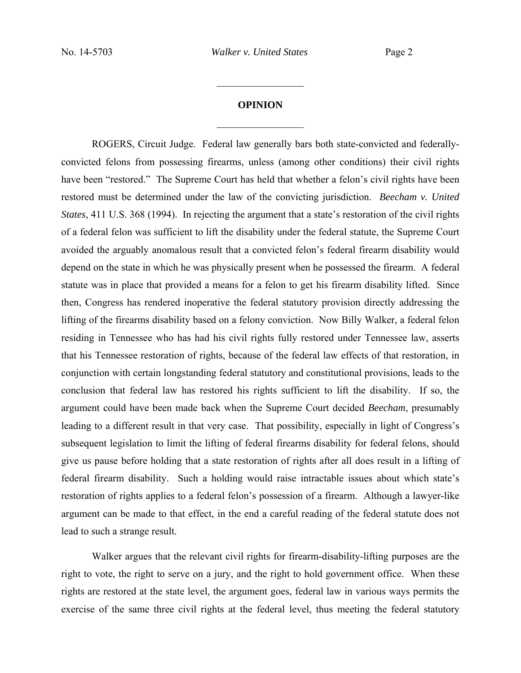# **OPINION**  $\frac{1}{2}$

 $\frac{1}{2}$  ,  $\frac{1}{2}$  ,  $\frac{1}{2}$  ,  $\frac{1}{2}$  ,  $\frac{1}{2}$  ,  $\frac{1}{2}$  ,  $\frac{1}{2}$  ,  $\frac{1}{2}$  ,  $\frac{1}{2}$ 

 ROGERS, Circuit Judge. Federal law generally bars both state-convicted and federallyconvicted felons from possessing firearms, unless (among other conditions) their civil rights have been "restored." The Supreme Court has held that whether a felon's civil rights have been restored must be determined under the law of the convicting jurisdiction. *Beecham v. United States*, 411 U.S. 368 (1994). In rejecting the argument that a state's restoration of the civil rights of a federal felon was sufficient to lift the disability under the federal statute, the Supreme Court avoided the arguably anomalous result that a convicted felon's federal firearm disability would depend on the state in which he was physically present when he possessed the firearm. A federal statute was in place that provided a means for a felon to get his firearm disability lifted. Since then, Congress has rendered inoperative the federal statutory provision directly addressing the lifting of the firearms disability based on a felony conviction. Now Billy Walker, a federal felon residing in Tennessee who has had his civil rights fully restored under Tennessee law, asserts that his Tennessee restoration of rights, because of the federal law effects of that restoration, in conjunction with certain longstanding federal statutory and constitutional provisions, leads to the conclusion that federal law has restored his rights sufficient to lift the disability. If so, the argument could have been made back when the Supreme Court decided *Beecham*, presumably leading to a different result in that very case. That possibility, especially in light of Congress's subsequent legislation to limit the lifting of federal firearms disability for federal felons, should give us pause before holding that a state restoration of rights after all does result in a lifting of federal firearm disability. Such a holding would raise intractable issues about which state's restoration of rights applies to a federal felon's possession of a firearm. Although a lawyer-like argument can be made to that effect, in the end a careful reading of the federal statute does not lead to such a strange result.

 Walker argues that the relevant civil rights for firearm-disability-lifting purposes are the right to vote, the right to serve on a jury, and the right to hold government office. When these rights are restored at the state level, the argument goes, federal law in various ways permits the exercise of the same three civil rights at the federal level, thus meeting the federal statutory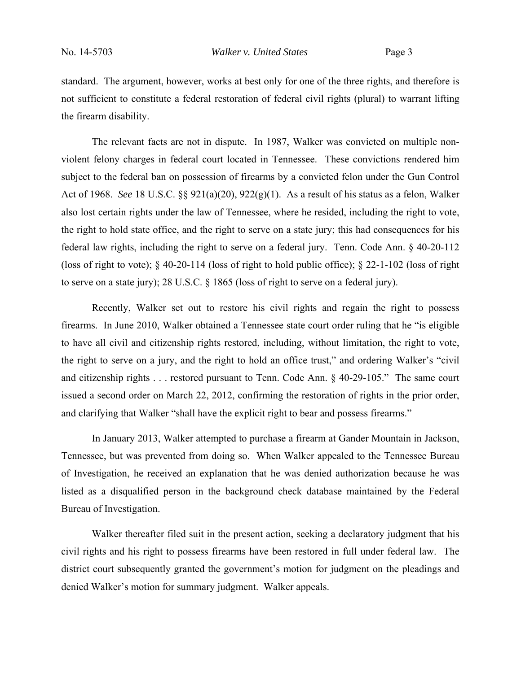standard. The argument, however, works at best only for one of the three rights, and therefore is not sufficient to constitute a federal restoration of federal civil rights (plural) to warrant lifting the firearm disability.

 The relevant facts are not in dispute. In 1987, Walker was convicted on multiple nonviolent felony charges in federal court located in Tennessee. These convictions rendered him subject to the federal ban on possession of firearms by a convicted felon under the Gun Control Act of 1968. *See* 18 U.S.C. §§ 921(a)(20), 922(g)(1). As a result of his status as a felon, Walker also lost certain rights under the law of Tennessee, where he resided, including the right to vote, the right to hold state office, and the right to serve on a state jury; this had consequences for his federal law rights, including the right to serve on a federal jury. Tenn. Code Ann. § 40-20-112 (loss of right to vote);  $\S$  40-20-114 (loss of right to hold public office);  $\S$  22-1-102 (loss of right to serve on a state jury); 28 U.S.C. § 1865 (loss of right to serve on a federal jury).

 Recently, Walker set out to restore his civil rights and regain the right to possess firearms. In June 2010, Walker obtained a Tennessee state court order ruling that he "is eligible to have all civil and citizenship rights restored, including, without limitation, the right to vote, the right to serve on a jury, and the right to hold an office trust," and ordering Walker's "civil and citizenship rights . . . restored pursuant to Tenn. Code Ann. § 40-29-105." The same court issued a second order on March 22, 2012, confirming the restoration of rights in the prior order, and clarifying that Walker "shall have the explicit right to bear and possess firearms."

 In January 2013, Walker attempted to purchase a firearm at Gander Mountain in Jackson, Tennessee, but was prevented from doing so. When Walker appealed to the Tennessee Bureau of Investigation, he received an explanation that he was denied authorization because he was listed as a disqualified person in the background check database maintained by the Federal Bureau of Investigation.

 Walker thereafter filed suit in the present action, seeking a declaratory judgment that his civil rights and his right to possess firearms have been restored in full under federal law. The district court subsequently granted the government's motion for judgment on the pleadings and denied Walker's motion for summary judgment. Walker appeals.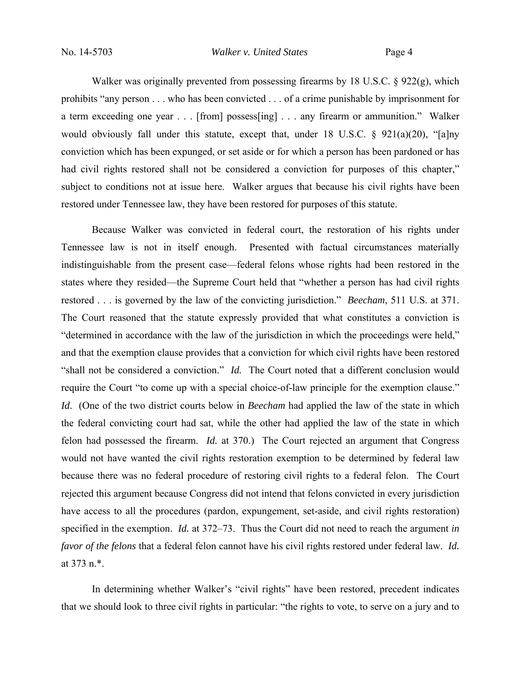Walker was originally prevented from possessing firearms by 18 U.S.C. § 922(g), which prohibits "any person . . . who has been convicted . . . of a crime punishable by imprisonment for a term exceeding one year . . . [from] possess[ing] . . . any firearm or ammunition." Walker would obviously fall under this statute, except that, under 18 U.S.C. § 921(a)(20), "[a]ny conviction which has been expunged, or set aside or for which a person has been pardoned or has had civil rights restored shall not be considered a conviction for purposes of this chapter," subject to conditions not at issue here. Walker argues that because his civil rights have been restored under Tennessee law, they have been restored for purposes of this statute.

 Because Walker was convicted in federal court, the restoration of his rights under Tennessee law is not in itself enough. Presented with factual circumstances materially indistinguishable from the present case—federal felons whose rights had been restored in the states where they resided—the Supreme Court held that "whether a person has had civil rights restored . . . is governed by the law of the convicting jurisdiction." *Beecham*, 511 U.S. at 371. The Court reasoned that the statute expressly provided that what constitutes a conviction is "determined in accordance with the law of the jurisdiction in which the proceedings were held," and that the exemption clause provides that a conviction for which civil rights have been restored "shall not be considered a conviction." *Id.* The Court noted that a different conclusion would require the Court "to come up with a special choice-of-law principle for the exemption clause." *Id*. (One of the two district courts below in *Beecham* had applied the law of the state in which the federal convicting court had sat, while the other had applied the law of the state in which felon had possessed the firearm. *Id.* at 370.) The Court rejected an argument that Congress would not have wanted the civil rights restoration exemption to be determined by federal law because there was no federal procedure of restoring civil rights to a federal felon. The Court rejected this argument because Congress did not intend that felons convicted in every jurisdiction have access to all the procedures (pardon, expungement, set-aside, and civil rights restoration) specified in the exemption. *Id.* at 372–73. Thus the Court did not need to reach the argument *in favor of the felons* that a federal felon cannot have his civil rights restored under federal law. *Id.*  at 373 n.\*.

In determining whether Walker's "civil rights" have been restored, precedent indicates that we should look to three civil rights in particular: "the rights to vote, to serve on a jury and to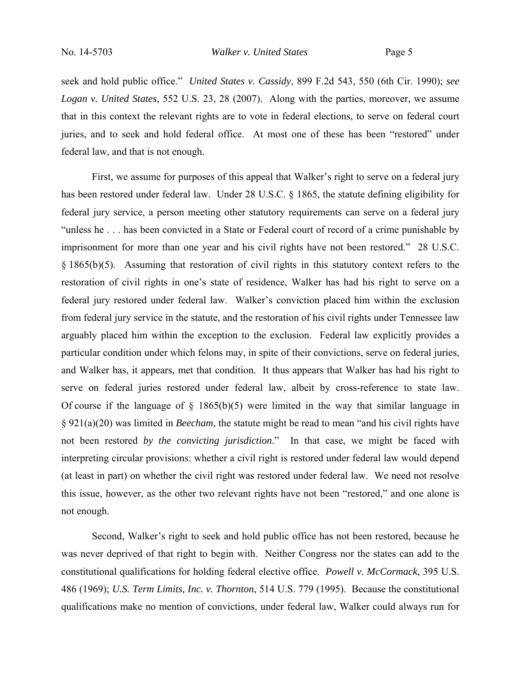seek and hold public office." *United States v. Cassidy*, 899 F.2d 543, 550 (6th Cir. 1990); *see Logan v. United States*, 552 U.S. 23, 28 (2007). Along with the parties, moreover, we assume that in this context the relevant rights are to vote in federal elections, to serve on federal court juries, and to seek and hold federal office. At most one of these has been "restored" under federal law, and that is not enough.

First, we assume for purposes of this appeal that Walker's right to serve on a federal jury has been restored under federal law. Under 28 U.S.C. § 1865, the statute defining eligibility for federal jury service, a person meeting other statutory requirements can serve on a federal jury "unless he . . . has been convicted in a State or Federal court of record of a crime punishable by imprisonment for more than one year and his civil rights have not been restored." 28 U.S.C. § 1865(b)(5). Assuming that restoration of civil rights in this statutory context refers to the restoration of civil rights in one's state of residence, Walker has had his right to serve on a federal jury restored under federal law. Walker's conviction placed him within the exclusion from federal jury service in the statute, and the restoration of his civil rights under Tennessee law arguably placed him within the exception to the exclusion. Federal law explicitly provides a particular condition under which felons may, in spite of their convictions, serve on federal juries, and Walker has, it appears, met that condition. It thus appears that Walker has had his right to serve on federal juries restored under federal law, albeit by cross-reference to state law. Of course if the language of  $\S$  1865(b)(5) were limited in the way that similar language in § 921(a)(20) was limited in *Beecham*, the statute might be read to mean "and his civil rights have not been restored *by the convicting jurisdiction*." In that case, we might be faced with interpreting circular provisions: whether a civil right is restored under federal law would depend (at least in part) on whether the civil right was restored under federal law. We need not resolve this issue, however, as the other two relevant rights have not been "restored," and one alone is not enough.

 Second, Walker's right to seek and hold public office has not been restored, because he was never deprived of that right to begin with. Neither Congress nor the states can add to the constitutional qualifications for holding federal elective office. *Powell v. McCormack*, 395 U.S. 486 (1969); *U.S. Term Limits, Inc. v. Thornton*, 514 U.S. 779 (1995). Because the constitutional qualifications make no mention of convictions, under federal law, Walker could always run for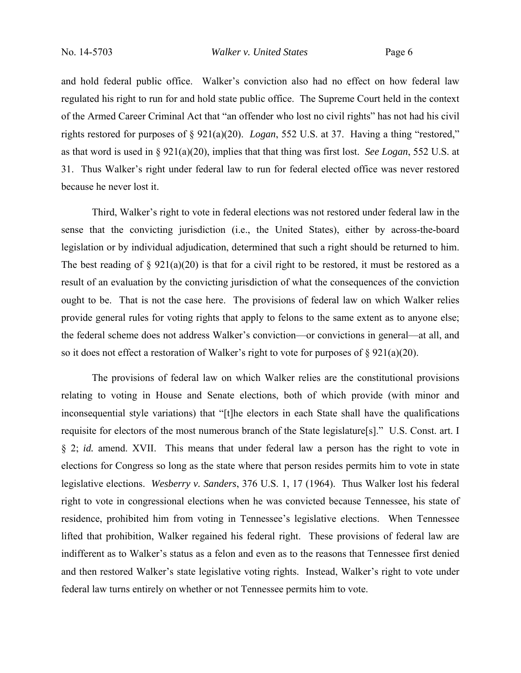and hold federal public office. Walker's conviction also had no effect on how federal law regulated his right to run for and hold state public office. The Supreme Court held in the context of the Armed Career Criminal Act that "an offender who lost no civil rights" has not had his civil rights restored for purposes of § 921(a)(20). *Logan*, 552 U.S. at 37. Having a thing "restored," as that word is used in § 921(a)(20), implies that that thing was first lost. *See Logan*, 552 U.S. at 31. Thus Walker's right under federal law to run for federal elected office was never restored because he never lost it.

 Third, Walker's right to vote in federal elections was not restored under federal law in the sense that the convicting jurisdiction (i.e., the United States), either by across-the-board legislation or by individual adjudication, determined that such a right should be returned to him. The best reading of  $\S 921(a)(20)$  is that for a civil right to be restored, it must be restored as a result of an evaluation by the convicting jurisdiction of what the consequences of the conviction ought to be. That is not the case here. The provisions of federal law on which Walker relies provide general rules for voting rights that apply to felons to the same extent as to anyone else; the federal scheme does not address Walker's conviction—or convictions in general—at all, and so it does not effect a restoration of Walker's right to vote for purposes of  $\S 921(a)(20)$ .

 The provisions of federal law on which Walker relies are the constitutional provisions relating to voting in House and Senate elections, both of which provide (with minor and inconsequential style variations) that "[t]he electors in each State shall have the qualifications requisite for electors of the most numerous branch of the State legislature[s]." U.S. Const. art. I § 2; *id.* amend. XVII. This means that under federal law a person has the right to vote in elections for Congress so long as the state where that person resides permits him to vote in state legislative elections. *Wesberry v. Sanders*, 376 U.S. 1, 17 (1964). Thus Walker lost his federal right to vote in congressional elections when he was convicted because Tennessee, his state of residence, prohibited him from voting in Tennessee's legislative elections. When Tennessee lifted that prohibition, Walker regained his federal right. These provisions of federal law are indifferent as to Walker's status as a felon and even as to the reasons that Tennessee first denied and then restored Walker's state legislative voting rights. Instead, Walker's right to vote under federal law turns entirely on whether or not Tennessee permits him to vote.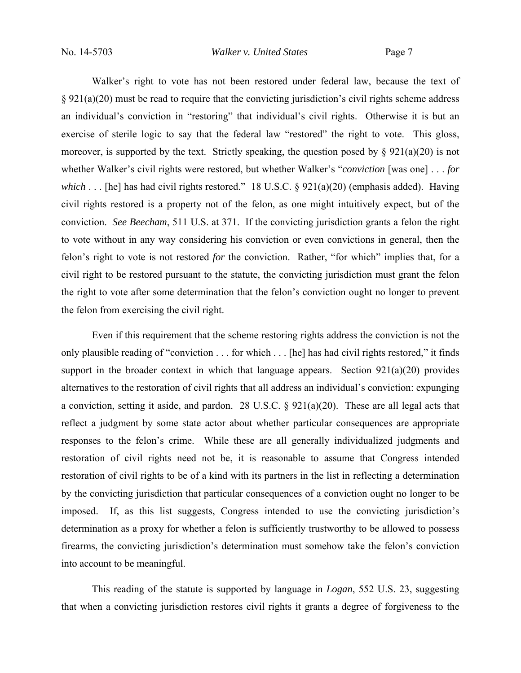Walker's right to vote has not been restored under federal law, because the text of § 921(a)(20) must be read to require that the convicting jurisdiction's civil rights scheme address an individual's conviction in "restoring" that individual's civil rights. Otherwise it is but an exercise of sterile logic to say that the federal law "restored" the right to vote. This gloss, moreover, is supported by the text. Strictly speaking, the question posed by  $\S 921(a)(20)$  is not whether Walker's civil rights were restored, but whether Walker's "*conviction* [was one] . . . *for which* . . . [he] has had civil rights restored." 18 U.S.C. § 921(a)(20) (emphasis added). Having civil rights restored is a property not of the felon, as one might intuitively expect, but of the conviction. *See Beecham*, 511 U.S. at 371. If the convicting jurisdiction grants a felon the right to vote without in any way considering his conviction or even convictions in general, then the felon's right to vote is not restored *for* the conviction. Rather, "for which" implies that, for a civil right to be restored pursuant to the statute, the convicting jurisdiction must grant the felon the right to vote after some determination that the felon's conviction ought no longer to prevent the felon from exercising the civil right.

 Even if this requirement that the scheme restoring rights address the conviction is not the only plausible reading of "conviction . . . for which . . . [he] has had civil rights restored," it finds support in the broader context in which that language appears. Section  $921(a)(20)$  provides alternatives to the restoration of civil rights that all address an individual's conviction: expunging a conviction, setting it aside, and pardon. 28 U.S.C. § 921(a)(20). These are all legal acts that reflect a judgment by some state actor about whether particular consequences are appropriate responses to the felon's crime. While these are all generally individualized judgments and restoration of civil rights need not be, it is reasonable to assume that Congress intended restoration of civil rights to be of a kind with its partners in the list in reflecting a determination by the convicting jurisdiction that particular consequences of a conviction ought no longer to be imposed. If, as this list suggests, Congress intended to use the convicting jurisdiction's determination as a proxy for whether a felon is sufficiently trustworthy to be allowed to possess firearms, the convicting jurisdiction's determination must somehow take the felon's conviction into account to be meaningful.

 This reading of the statute is supported by language in *Logan*, 552 U.S. 23, suggesting that when a convicting jurisdiction restores civil rights it grants a degree of forgiveness to the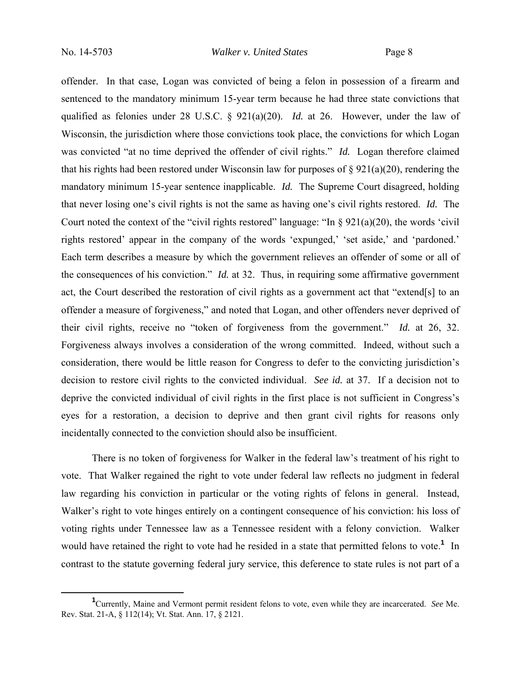offender. In that case, Logan was convicted of being a felon in possession of a firearm and sentenced to the mandatory minimum 15-year term because he had three state convictions that qualified as felonies under 28 U.S.C. § 921(a)(20). *Id.* at 26. However, under the law of Wisconsin, the jurisdiction where those convictions took place, the convictions for which Logan was convicted "at no time deprived the offender of civil rights." *Id.* Logan therefore claimed that his rights had been restored under Wisconsin law for purposes of  $\S 921(a)(20)$ , rendering the mandatory minimum 15-year sentence inapplicable. *Id.* The Supreme Court disagreed, holding that never losing one's civil rights is not the same as having one's civil rights restored. *Id.* The Court noted the context of the "civil rights restored" language: "In  $\S 921(a)(20)$ , the words 'civil rights restored' appear in the company of the words 'expunged,' 'set aside,' and 'pardoned.' Each term describes a measure by which the government relieves an offender of some or all of the consequences of his conviction." *Id.* at 32. Thus, in requiring some affirmative government act, the Court described the restoration of civil rights as a government act that "extend[s] to an offender a measure of forgiveness," and noted that Logan, and other offenders never deprived of their civil rights, receive no "token of forgiveness from the government." *Id.* at 26, 32. Forgiveness always involves a consideration of the wrong committed. Indeed, without such a consideration, there would be little reason for Congress to defer to the convicting jurisdiction's decision to restore civil rights to the convicted individual. *See id.* at 37. If a decision not to deprive the convicted individual of civil rights in the first place is not sufficient in Congress's eyes for a restoration, a decision to deprive and then grant civil rights for reasons only incidentally connected to the conviction should also be insufficient.

 There is no token of forgiveness for Walker in the federal law's treatment of his right to vote. That Walker regained the right to vote under federal law reflects no judgment in federal law regarding his conviction in particular or the voting rights of felons in general. Instead, Walker's right to vote hinges entirely on a contingent consequence of his conviction: his loss of voting rights under Tennessee law as a Tennessee resident with a felony conviction. Walker would have retained the right to vote had he resided in a state that permitted felons to vote.<sup>1</sup> In contrast to the statute governing federal jury service, this deference to state rules is not part of a

 $\frac{1}{1}$ Currently, Maine and Vermont permit resident felons to vote, even while they are incarcerated. *See* Me. Rev. Stat. 21-A, § 112(14); Vt. Stat. Ann. 17, § 2121.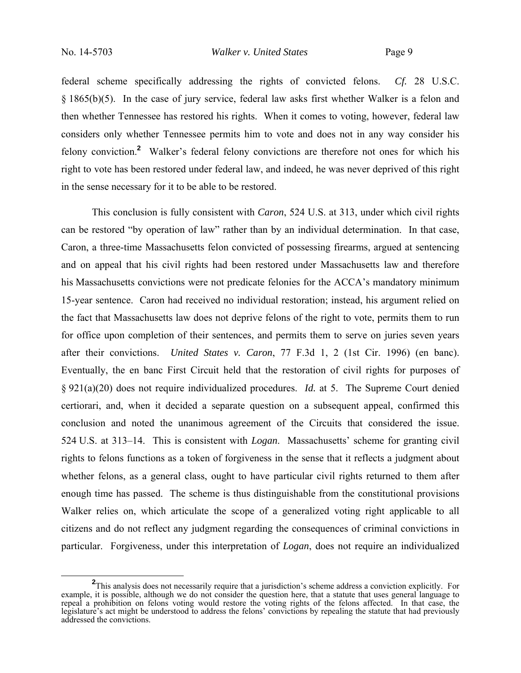federal scheme specifically addressing the rights of convicted felons. *Cf.* 28 U.S.C. § 1865(b)(5). In the case of jury service, federal law asks first whether Walker is a felon and then whether Tennessee has restored his rights. When it comes to voting, however, federal law considers only whether Tennessee permits him to vote and does not in any way consider his felony conviction.**<sup>2</sup>** Walker's federal felony convictions are therefore not ones for which his right to vote has been restored under federal law, and indeed, he was never deprived of this right in the sense necessary for it to be able to be restored.

 This conclusion is fully consistent with *Caron*, 524 U.S. at 313, under which civil rights can be restored "by operation of law" rather than by an individual determination. In that case, Caron, a three-time Massachusetts felon convicted of possessing firearms, argued at sentencing and on appeal that his civil rights had been restored under Massachusetts law and therefore his Massachusetts convictions were not predicate felonies for the ACCA's mandatory minimum 15-year sentence. Caron had received no individual restoration; instead, his argument relied on the fact that Massachusetts law does not deprive felons of the right to vote, permits them to run for office upon completion of their sentences, and permits them to serve on juries seven years after their convictions. *United States v. Caron*, 77 F.3d 1, 2 (1st Cir. 1996) (en banc). Eventually, the en banc First Circuit held that the restoration of civil rights for purposes of § 921(a)(20) does not require individualized procedures. *Id.* at 5. The Supreme Court denied certiorari, and, when it decided a separate question on a subsequent appeal, confirmed this conclusion and noted the unanimous agreement of the Circuits that considered the issue. 524 U.S. at 313–14. This is consistent with *Logan*. Massachusetts' scheme for granting civil rights to felons functions as a token of forgiveness in the sense that it reflects a judgment about whether felons, as a general class, ought to have particular civil rights returned to them after enough time has passed. The scheme is thus distinguishable from the constitutional provisions Walker relies on, which articulate the scope of a generalized voting right applicable to all citizens and do not reflect any judgment regarding the consequences of criminal convictions in particular. Forgiveness, under this interpretation of *Logan*, does not require an individualized

**<sup>2</sup>**<br> **2** This analysis does not necessarily require that a jurisdiction's scheme address a conviction explicitly. For example, it is possible, although we do not consider the question here, that a statute that uses general language to repeal a prohibition on felons voting would restore the voting rights of the felons affected. In that case, the legislature's act might be understood to address the felons' convictions by repealing the statute that had previously addressed the convictions.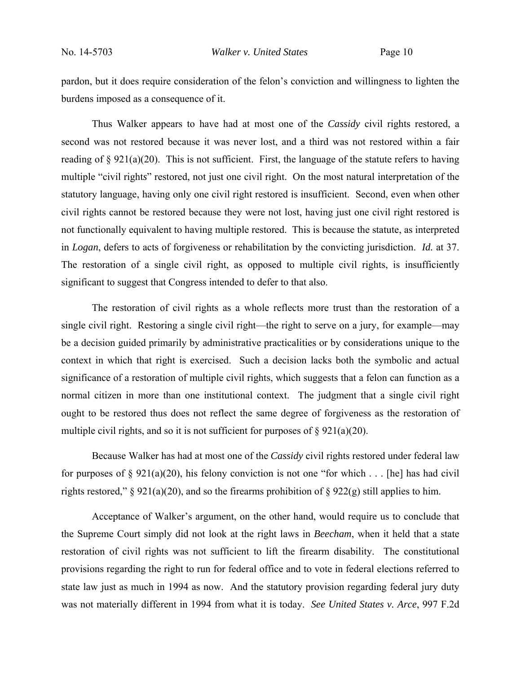pardon, but it does require consideration of the felon's conviction and willingness to lighten the burdens imposed as a consequence of it.

 Thus Walker appears to have had at most one of the *Cassidy* civil rights restored, a second was not restored because it was never lost, and a third was not restored within a fair reading of  $\S 921(a)(20)$ . This is not sufficient. First, the language of the statute refers to having multiple "civil right*s*" restored, not just one civil right. On the most natural interpretation of the statutory language, having only one civil right restored is insufficient. Second, even when other civil rights cannot be restored because they were not lost, having just one civil right restored is not functionally equivalent to having multiple restored. This is because the statute, as interpreted in *Logan*, defers to acts of forgiveness or rehabilitation by the convicting jurisdiction. *Id.* at 37. The restoration of a single civil right, as opposed to multiple civil rights, is insufficiently significant to suggest that Congress intended to defer to that also.

 The restoration of civil rights as a whole reflects more trust than the restoration of a single civil right. Restoring a single civil right—the right to serve on a jury, for example—may be a decision guided primarily by administrative practicalities or by considerations unique to the context in which that right is exercised. Such a decision lacks both the symbolic and actual significance of a restoration of multiple civil rights, which suggests that a felon can function as a normal citizen in more than one institutional context. The judgment that a single civil right ought to be restored thus does not reflect the same degree of forgiveness as the restoration of multiple civil rights, and so it is not sufficient for purposes of  $\S 921(a)(20)$ .

 Because Walker has had at most one of the *Cassidy* civil rights restored under federal law for purposes of  $\S 921(a)(20)$ , his felony conviction is not one "for which . . . [he] has had civil rights restored," § 921(a)(20), and so the firearms prohibition of § 922(g) still applies to him.

 Acceptance of Walker's argument, on the other hand, would require us to conclude that the Supreme Court simply did not look at the right laws in *Beecham*, when it held that a state restoration of civil rights was not sufficient to lift the firearm disability. The constitutional provisions regarding the right to run for federal office and to vote in federal elections referred to state law just as much in 1994 as now. And the statutory provision regarding federal jury duty was not materially different in 1994 from what it is today. *See United States v. Arce*, 997 F.2d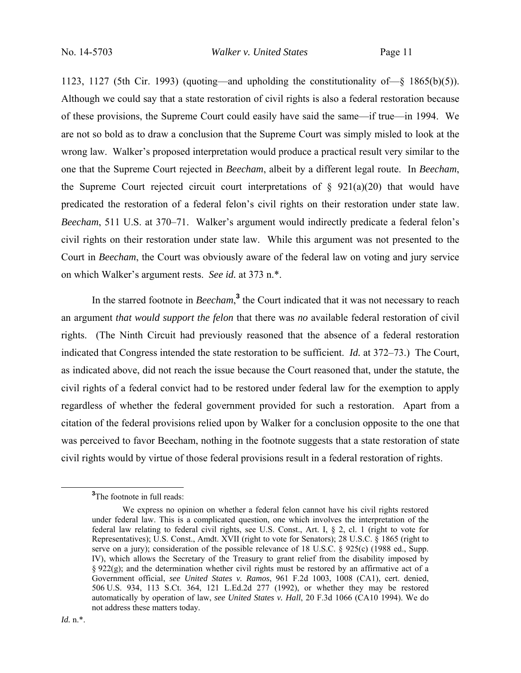1123, 1127 (5th Cir. 1993) (quoting—and upholding the constitutionality of—§ 1865(b)(5)). Although we could say that a state restoration of civil rights is also a federal restoration because of these provisions, the Supreme Court could easily have said the same—if true—in 1994. We are not so bold as to draw a conclusion that the Supreme Court was simply misled to look at the wrong law. Walker's proposed interpretation would produce a practical result very similar to the one that the Supreme Court rejected in *Beecham*, albeit by a different legal route. In *Beecham*, the Supreme Court rejected circuit court interpretations of  $\S$  921(a)(20) that would have predicated the restoration of a federal felon's civil rights on their restoration under state law. *Beecham*, 511 U.S. at 370–71. Walker's argument would indirectly predicate a federal felon's civil rights on their restoration under state law. While this argument was not presented to the Court in *Beecham*, the Court was obviously aware of the federal law on voting and jury service on which Walker's argument rests. *See id.* at 373 n.\*.

In the starred footnote in *Beecham*,<sup>3</sup> the Court indicated that it was not necessary to reach an argument *that would support the felon* that there was *no* available federal restoration of civil rights. (The Ninth Circuit had previously reasoned that the absence of a federal restoration indicated that Congress intended the state restoration to be sufficient. *Id.* at 372–73.) The Court, as indicated above, did not reach the issue because the Court reasoned that, under the statute, the civil rights of a federal convict had to be restored under federal law for the exemption to apply regardless of whether the federal government provided for such a restoration. Apart from a citation of the federal provisions relied upon by Walker for a conclusion opposite to the one that was perceived to favor Beecham, nothing in the footnote suggests that a state restoration of state civil rights would by virtue of those federal provisions result in a federal restoration of rights.

**<sup>3</sup>** <sup>3</sup>The footnote in full reads:

We express no opinion on whether a federal felon cannot have his civil rights restored under federal law. This is a complicated question, one which involves the interpretation of the federal law relating to federal civil rights, see U.S. Const., Art. I, § 2, cl. 1 (right to vote for Representatives); U.S. Const., Amdt. XVII (right to vote for Senators); 28 U.S.C. § 1865 (right to serve on a jury); consideration of the possible relevance of 18 U.S.C. § 925(c) (1988 ed., Supp. IV), which allows the Secretary of the Treasury to grant relief from the disability imposed by  $\S 922(g)$ ; and the determination whether civil rights must be restored by an affirmative act of a Government official, *see United States v. Ramos*, 961 F.2d 1003, 1008 (CA1), cert. denied, 506 U.S. 934, 113 S.Ct. 364, 121 L.Ed.2d 277 (1992), or whether they may be restored automatically by operation of law, *see United States v. Hall*, 20 F.3d 1066 (CA10 1994). We do not address these matters today.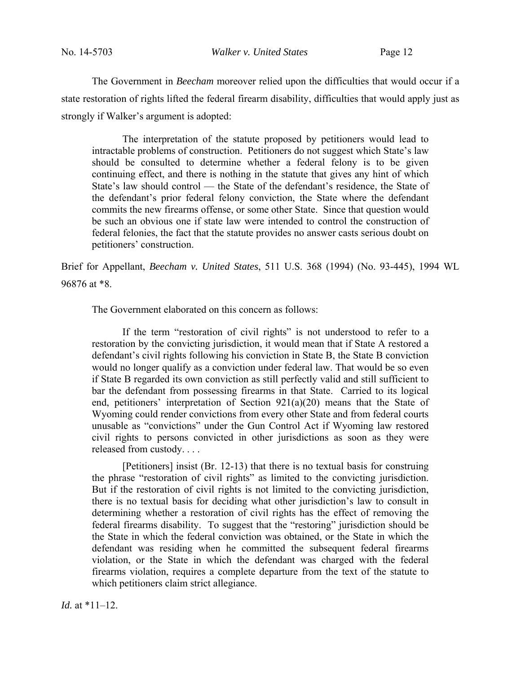The Government in *Beecham* moreover relied upon the difficulties that would occur if a state restoration of rights lifted the federal firearm disability, difficulties that would apply just as strongly if Walker's argument is adopted:

 The interpretation of the statute proposed by petitioners would lead to intractable problems of construction. Petitioners do not suggest which State's law should be consulted to determine whether a federal felony is to be given continuing effect, and there is nothing in the statute that gives any hint of which State's law should control — the State of the defendant's residence, the State of the defendant's prior federal felony conviction, the State where the defendant commits the new firearms offense, or some other State. Since that question would be such an obvious one if state law were intended to control the construction of federal felonies, the fact that the statute provides no answer casts serious doubt on petitioners' construction.

Brief for Appellant, *Beecham v. United States*, 511 U.S. 368 (1994) (No. 93-445), 1994 WL 96876 at \*8.

The Government elaborated on this concern as follows:

 If the term "restoration of civil rights" is not understood to refer to a restoration by the convicting jurisdiction, it would mean that if State A restored a defendant's civil rights following his conviction in State B, the State B conviction would no longer qualify as a conviction under federal law. That would be so even if State B regarded its own conviction as still perfectly valid and still sufficient to bar the defendant from possessing firearms in that State. Carried to its logical end, petitioners' interpretation of Section 921(a)(20) means that the State of Wyoming could render convictions from every other State and from federal courts unusable as "convictions" under the Gun Control Act if Wyoming law restored civil rights to persons convicted in other jurisdictions as soon as they were released from custody. . . .

 [Petitioners] insist (Br. 12-13) that there is no textual basis for construing the phrase "restoration of civil rights" as limited to the convicting jurisdiction. But if the restoration of civil rights is not limited to the convicting jurisdiction, there is no textual basis for deciding what other jurisdiction's law to consult in determining whether a restoration of civil rights has the effect of removing the federal firearms disability. To suggest that the "restoring" jurisdiction should be the State in which the federal conviction was obtained, or the State in which the defendant was residing when he committed the subsequent federal firearms violation, or the State in which the defendant was charged with the federal firearms violation, requires a complete departure from the text of the statute to which petitioners claim strict allegiance.

*Id.* at \*11–12.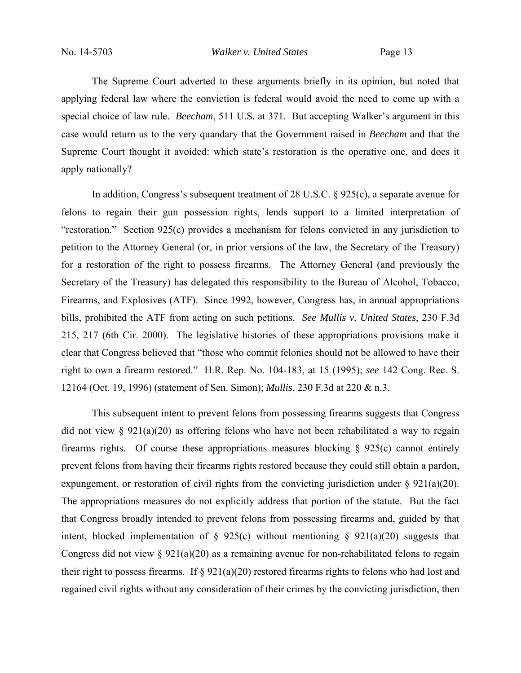The Supreme Court adverted to these arguments briefly in its opinion, but noted that applying federal law where the conviction is federal would avoid the need to come up with a special choice of law rule. *Beecham*, 511 U.S. at 371. But accepting Walker's argument in this case would return us to the very quandary that the Government raised in *Beecham* and that the Supreme Court thought it avoided: which state's restoration is the operative one, and does it apply nationally?

 In addition, Congress's subsequent treatment of 28 U.S.C. § 925(c), a separate avenue for felons to regain their gun possession rights, lends support to a limited interpretation of "restoration." Section 925(c) provides a mechanism for felons convicted in any jurisdiction to petition to the Attorney General (or, in prior versions of the law, the Secretary of the Treasury) for a restoration of the right to possess firearms. The Attorney General (and previously the Secretary of the Treasury) has delegated this responsibility to the Bureau of Alcohol, Tobacco, Firearms, and Explosives (ATF). Since 1992, however, Congress has, in annual appropriations bills, prohibited the ATF from acting on such petitions. *See Mullis v. United States*, 230 F.3d 215, 217 (6th Cir. 2000). The legislative histories of these appropriations provisions make it clear that Congress believed that "those who commit felonies should not be allowed to have their right to own a firearm restored." H.R. Rep. No. 104-183, at 15 (1995); *see* 142 Cong. Rec. S. 12164 (Oct. 19, 1996) (statement of Sen. Simon); *Mullis*, 230 F.3d at 220 & n.3.

 This subsequent intent to prevent felons from possessing firearms suggests that Congress did not view  $\S 921(a)(20)$  as offering felons who have not been rehabilitated a way to regain firearms rights. Of course these appropriations measures blocking § 925(c) cannot entirely prevent felons from having their firearms rights restored because they could still obtain a pardon, expungement, or restoration of civil rights from the convicting jurisdiction under  $\S$  921(a)(20). The appropriations measures do not explicitly address that portion of the statute. But the fact that Congress broadly intended to prevent felons from possessing firearms and, guided by that intent, blocked implementation of § 925(c) without mentioning § 921(a)(20) suggests that Congress did not view  $\S 921(a)(20)$  as a remaining avenue for non-rehabilitated felons to regain their right to possess firearms. If  $\S 921(a)(20)$  restored firearms rights to felons who had lost and regained civil rights without any consideration of their crimes by the convicting jurisdiction, then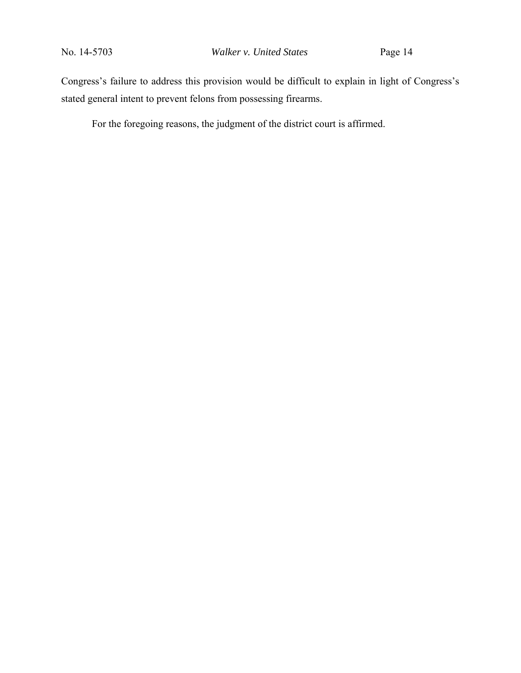Congress's failure to address this provision would be difficult to explain in light of Congress's stated general intent to prevent felons from possessing firearms.

For the foregoing reasons, the judgment of the district court is affirmed.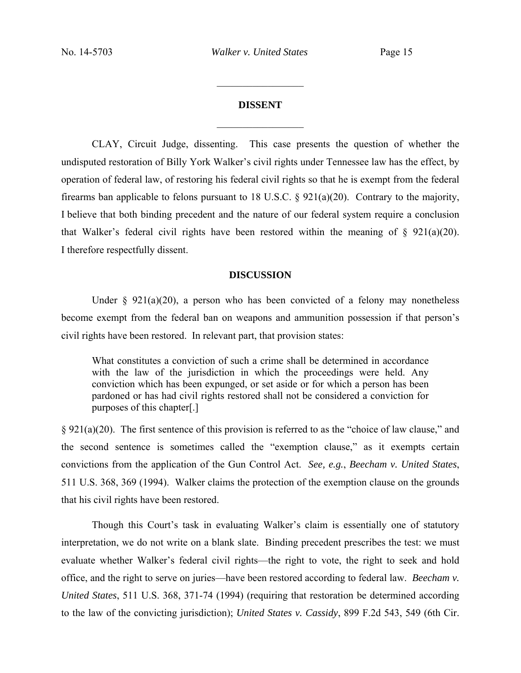# **DISSENT**  $\frac{1}{2}$

 $\frac{1}{2}$  ,  $\frac{1}{2}$  ,  $\frac{1}{2}$  ,  $\frac{1}{2}$  ,  $\frac{1}{2}$  ,  $\frac{1}{2}$  ,  $\frac{1}{2}$  ,  $\frac{1}{2}$  ,  $\frac{1}{2}$ 

 CLAY, Circuit Judge, dissenting. This case presents the question of whether the undisputed restoration of Billy York Walker's civil rights under Tennessee law has the effect, by operation of federal law, of restoring his federal civil rights so that he is exempt from the federal firearms ban applicable to felons pursuant to 18 U.S.C. § 921(a)(20). Contrary to the majority, I believe that both binding precedent and the nature of our federal system require a conclusion that Walker's federal civil rights have been restored within the meaning of  $\S$  921(a)(20). I therefore respectfully dissent.

### **DISCUSSION**

Under  $\S$  921(a)(20), a person who has been convicted of a felony may nonetheless become exempt from the federal ban on weapons and ammunition possession if that person's civil rights have been restored. In relevant part, that provision states:

What constitutes a conviction of such a crime shall be determined in accordance with the law of the jurisdiction in which the proceedings were held. Any conviction which has been expunged, or set aside or for which a person has been pardoned or has had civil rights restored shall not be considered a conviction for purposes of this chapter[.]

§ 921(a)(20). The first sentence of this provision is referred to as the "choice of law clause," and the second sentence is sometimes called the "exemption clause," as it exempts certain convictions from the application of the Gun Control Act. *See, e.g.*, *Beecham v. United States*, 511 U.S. 368, 369 (1994). Walker claims the protection of the exemption clause on the grounds that his civil rights have been restored.

 Though this Court's task in evaluating Walker's claim is essentially one of statutory interpretation, we do not write on a blank slate. Binding precedent prescribes the test: we must evaluate whether Walker's federal civil rights—the right to vote, the right to seek and hold office, and the right to serve on juries—have been restored according to federal law. *Beecham v. United States*, 511 U.S. 368, 371-74 (1994) (requiring that restoration be determined according to the law of the convicting jurisdiction); *United States v. Cassidy*, 899 F.2d 543, 549 (6th Cir.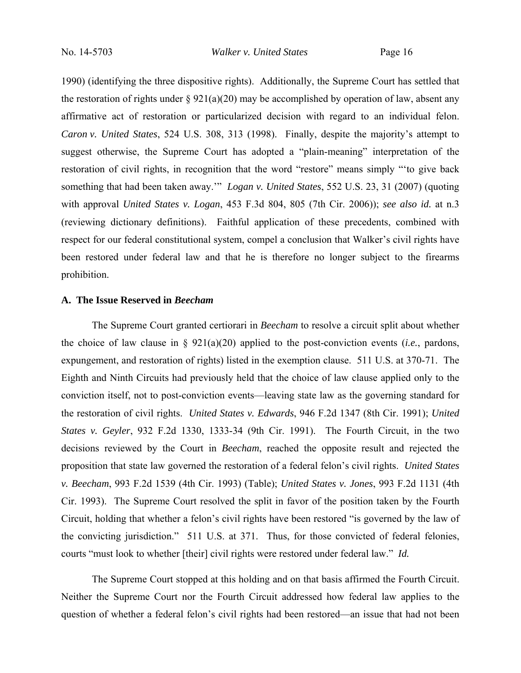1990) (identifying the three dispositive rights). Additionally, the Supreme Court has settled that the restoration of rights under  $\S 921(a)(20)$  may be accomplished by operation of law, absent any affirmative act of restoration or particularized decision with regard to an individual felon. *Caron v. United States*, 524 U.S. 308, 313 (1998). Finally, despite the majority's attempt to suggest otherwise, the Supreme Court has adopted a "plain-meaning" interpretation of the restoration of civil rights, in recognition that the word "restore" means simply "'to give back something that had been taken away.'" *Logan v. United States*, 552 U.S. 23, 31 (2007) (quoting with approval *United States v. Logan*, 453 F.3d 804, 805 (7th Cir. 2006)); *see also id.* at n.3 (reviewing dictionary definitions). Faithful application of these precedents, combined with respect for our federal constitutional system, compel a conclusion that Walker's civil rights have been restored under federal law and that he is therefore no longer subject to the firearms prohibition.

## **A. The Issue Reserved in** *Beecham*

 The Supreme Court granted certiorari in *Beecham* to resolve a circuit split about whether the choice of law clause in § 921(a)(20) applied to the post-conviction events (*i.e.*, pardons, expungement, and restoration of rights) listed in the exemption clause. 511 U.S. at 370-71. The Eighth and Ninth Circuits had previously held that the choice of law clause applied only to the conviction itself, not to post-conviction events—leaving state law as the governing standard for the restoration of civil rights. *United States v. Edwards*, 946 F.2d 1347 (8th Cir. 1991); *United States v. Geyler*, 932 F.2d 1330, 1333-34 (9th Cir. 1991). The Fourth Circuit, in the two decisions reviewed by the Court in *Beecham*, reached the opposite result and rejected the proposition that state law governed the restoration of a federal felon's civil rights. *United States v. Beecham*, 993 F.2d 1539 (4th Cir. 1993) (Table); *United States v. Jones*, 993 F.2d 1131 (4th Cir. 1993). The Supreme Court resolved the split in favor of the position taken by the Fourth Circuit, holding that whether a felon's civil rights have been restored "is governed by the law of the convicting jurisdiction." 511 U.S. at 371. Thus, for those convicted of federal felonies, courts "must look to whether [their] civil rights were restored under federal law." *Id.*

 The Supreme Court stopped at this holding and on that basis affirmed the Fourth Circuit. Neither the Supreme Court nor the Fourth Circuit addressed how federal law applies to the question of whether a federal felon's civil rights had been restored—an issue that had not been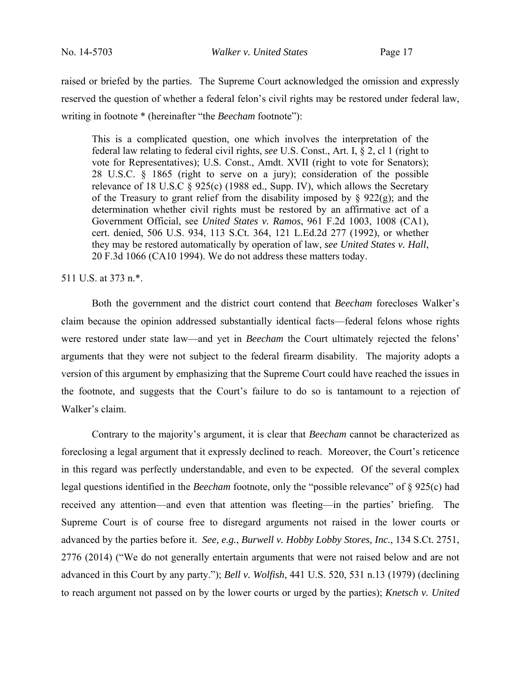raised or briefed by the parties. The Supreme Court acknowledged the omission and expressly reserved the question of whether a federal felon's civil rights may be restored under federal law, writing in footnote \* (hereinafter "the *Beecham* footnote"):

This is a complicated question, one which involves the interpretation of the federal law relating to federal civil rights, *see* U.S. Const., Art. I, § 2, cl 1 (right to vote for Representatives); U.S. Const., Amdt. XVII (right to vote for Senators); 28 U.S.C. § 1865 (right to serve on a jury); consideration of the possible relevance of 18 U.S.C § 925(c) (1988 ed., Supp. IV), which allows the Secretary of the Treasury to grant relief from the disability imposed by  $\S$  922(g); and the determination whether civil rights must be restored by an affirmative act of a Government Official, see *United States v. Ramos*, 961 F.2d 1003, 1008 (CA1), cert. denied, 506 U.S. 934, 113 S.Ct. 364, 121 L.Ed.2d 277 (1992), or whether they may be restored automatically by operation of law, *see United States v. Hall*, 20 F.3d 1066 (CA10 1994). We do not address these matters today.

511 U.S. at 373 n.\*.

 Both the government and the district court contend that *Beecham* forecloses Walker's claim because the opinion addressed substantially identical facts—federal felons whose rights were restored under state law—and yet in *Beecham* the Court ultimately rejected the felons' arguments that they were not subject to the federal firearm disability. The majority adopts a version of this argument by emphasizing that the Supreme Court could have reached the issues in the footnote, and suggests that the Court's failure to do so is tantamount to a rejection of Walker's claim.

 Contrary to the majority's argument, it is clear that *Beecham* cannot be characterized as foreclosing a legal argument that it expressly declined to reach. Moreover, the Court's reticence in this regard was perfectly understandable, and even to be expected. Of the several complex legal questions identified in the *Beecham* footnote, only the "possible relevance" of § 925(c) had received any attention—and even that attention was fleeting—in the parties' briefing. The Supreme Court is of course free to disregard arguments not raised in the lower courts or advanced by the parties before it. *See, e.g.*, *Burwell v. Hobby Lobby Stores, Inc.*, 134 S.Ct. 2751, 2776 (2014) ("We do not generally entertain arguments that were not raised below and are not advanced in this Court by any party."); *Bell v. Wolfish*, 441 U.S. 520, 531 n.13 (1979) (declining to reach argument not passed on by the lower courts or urged by the parties); *Knetsch v. United*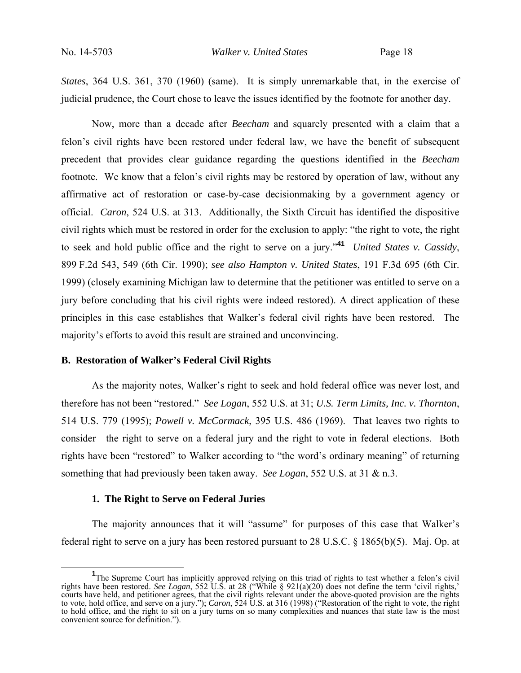*States*, 364 U.S. 361, 370 (1960) (same). It is simply unremarkable that, in the exercise of judicial prudence, the Court chose to leave the issues identified by the footnote for another day.

 Now, more than a decade after *Beecham* and squarely presented with a claim that a felon's civil rights have been restored under federal law, we have the benefit of subsequent precedent that provides clear guidance regarding the questions identified in the *Beecham* footnote. We know that a felon's civil rights may be restored by operation of law, without any affirmative act of restoration or case-by-case decisionmaking by a government agency or official. *Caron*, 524 U.S. at 313. Additionally, the Sixth Circuit has identified the dispositive civil rights which must be restored in order for the exclusion to apply: "the right to vote, the right to seek and hold public office and the right to serve on a jury."**<sup>41</sup>** *United States v. Cassidy*, 899 F.2d 543, 549 (6th Cir. 1990); *see also Hampton v. United States*, 191 F.3d 695 (6th Cir. 1999) (closely examining Michigan law to determine that the petitioner was entitled to serve on a jury before concluding that his civil rights were indeed restored). A direct application of these principles in this case establishes that Walker's federal civil rights have been restored. The majority's efforts to avoid this result are strained and unconvincing.

## **B. Restoration of Walker's Federal Civil Rights**

As the majority notes, Walker's right to seek and hold federal office was never lost, and therefore has not been "restored." *See Logan*, 552 U.S. at 31; *U.S. Term Limits, Inc. v. Thornton*, 514 U.S. 779 (1995); *Powell v. McCormack*, 395 U.S. 486 (1969). That leaves two rights to consider—the right to serve on a federal jury and the right to vote in federal elections. Both rights have been "restored" to Walker according to "the word's ordinary meaning" of returning something that had previously been taken away. *See Logan*, 552 U.S. at 31 & n.3.

#### **1. The Right to Serve on Federal Juries**

The majority announces that it will "assume" for purposes of this case that Walker's federal right to serve on a jury has been restored pursuant to 28 U.S.C. § 1865(b)(5). Maj. Op. at

<sup>&</sup>lt;sup>1</sup>The Supreme Court has implicitly approved relying on this triad of rights to test whether a felon's civil rights have been restored. *See Logan*, 552 U.S. at 28 ("While § 921(a)(20) does not define the term 'civil rights,' courts have held, and petitioner agrees, that the civil rights relevant under the above-quoted provision are the rights to vote, hold office, and serve on a jury."); *Caron*, 524 U.S. at 316 (1998) ("Restoration of the right to vote, the right to hold office, and the right to sit on a jury turns on so many complexities and nuances that state law is the most convenient source for definition.").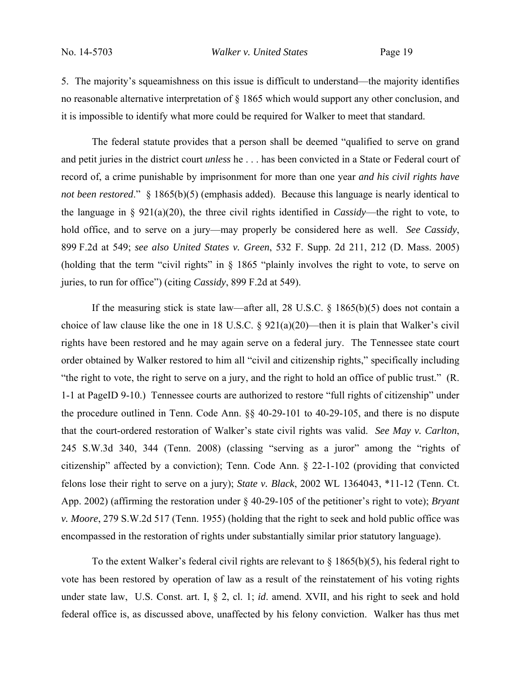5. The majority's squeamishness on this issue is difficult to understand—the majority identifies no reasonable alternative interpretation of § 1865 which would support any other conclusion, and it is impossible to identify what more could be required for Walker to meet that standard.

 The federal statute provides that a person shall be deemed "qualified to serve on grand and petit juries in the district court *unless* he . . . has been convicted in a State or Federal court of record of, a crime punishable by imprisonment for more than one year *and his civil rights have not been restored*." § 1865(b)(5) (emphasis added). Because this language is nearly identical to the language in § 921(a)(20), the three civil rights identified in *Cassidy*—the right to vote, to hold office, and to serve on a jury—may properly be considered here as well. *See Cassidy*, 899 F.2d at 549; *see also United States v. Green*, 532 F. Supp. 2d 211, 212 (D. Mass. 2005) (holding that the term "civil rights" in § 1865 "plainly involves the right to vote, to serve on juries, to run for office") (citing *Cassidy*, 899 F.2d at 549).

If the measuring stick is state law—after all, 28 U.S.C.  $\S$  1865(b)(5) does not contain a choice of law clause like the one in 18 U.S.C.  $\S$  921(a)(20)—then it is plain that Walker's civil rights have been restored and he may again serve on a federal jury. The Tennessee state court order obtained by Walker restored to him all "civil and citizenship rights," specifically including "the right to vote, the right to serve on a jury, and the right to hold an office of public trust." (R. 1-1 at PageID 9-10.) Tennessee courts are authorized to restore "full rights of citizenship" under the procedure outlined in Tenn. Code Ann. §§ 40-29-101 to 40-29-105, and there is no dispute that the court-ordered restoration of Walker's state civil rights was valid. *See May v. Carlton*, 245 S.W.3d 340, 344 (Tenn. 2008) (classing "serving as a juror" among the "rights of citizenship" affected by a conviction); Tenn. Code Ann. § 22-1-102 (providing that convicted felons lose their right to serve on a jury); *State v. Black*, 2002 WL 1364043, \*11-12 (Tenn. Ct. App. 2002) (affirming the restoration under § 40-29-105 of the petitioner's right to vote); *Bryant v. Moore*, 279 S.W.2d 517 (Tenn. 1955) (holding that the right to seek and hold public office was encompassed in the restoration of rights under substantially similar prior statutory language).

To the extent Walker's federal civil rights are relevant to  $\S 1865(b)(5)$ , his federal right to vote has been restored by operation of law as a result of the reinstatement of his voting rights under state law, U.S. Const. art. I, § 2, cl. 1; *id*. amend. XVII, and his right to seek and hold federal office is, as discussed above, unaffected by his felony conviction. Walker has thus met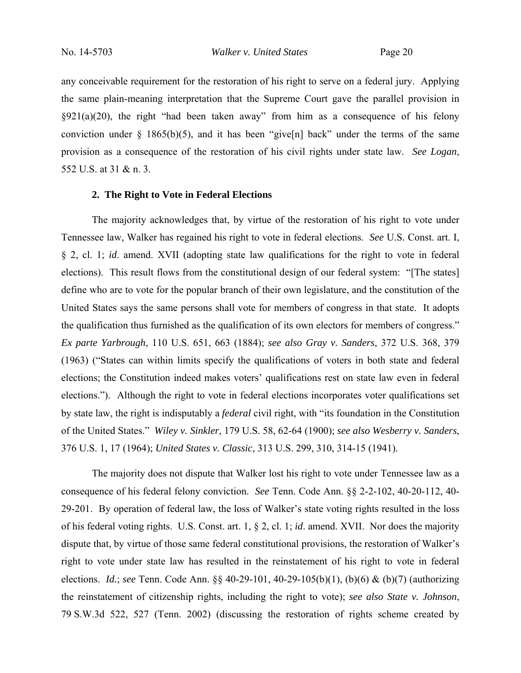any conceivable requirement for the restoration of his right to serve on a federal jury. Applying the same plain-meaning interpretation that the Supreme Court gave the parallel provision in  $\S921(a)(20)$ , the right "had been taken away" from him as a consequence of his felony conviction under § 1865(b)(5), and it has been "give[n] back" under the terms of the same provision as a consequence of the restoration of his civil rights under state law. *See Logan*, 552 U.S. at 31 & n. 3.

### **2. The Right to Vote in Federal Elections**

The majority acknowledges that, by virtue of the restoration of his right to vote under Tennessee law, Walker has regained his right to vote in federal elections. *See* U.S. Const. art. I, § 2, cl. 1; *id*. amend. XVII (adopting state law qualifications for the right to vote in federal elections). This result flows from the constitutional design of our federal system: "[The states] define who are to vote for the popular branch of their own legislature, and the constitution of the United States says the same persons shall vote for members of congress in that state. It adopts the qualification thus furnished as the qualification of its own electors for members of congress." *Ex parte Yarbrough*, 110 U.S. 651, 663 (1884); *see also Gray v. Sanders*, 372 U.S. 368, 379 (1963) ("States can within limits specify the qualifications of voters in both state and federal elections; the Constitution indeed makes voters' qualifications rest on state law even in federal elections."). Although the right to vote in federal elections incorporates voter qualifications set by state law, the right is indisputably a *federal* civil right, with "its foundation in the Constitution of the United States." *Wiley v. Sinkler*, 179 U.S. 58, 62-64 (1900); *see also Wesberry v. Sanders*, 376 U.S. 1, 17 (1964); *United States v. Classic*, 313 U.S. 299, 310, 314-15 (1941).

 The majority does not dispute that Walker lost his right to vote under Tennessee law as a consequence of his federal felony conviction. *See* Tenn. Code Ann. §§ 2-2-102, 40-20-112, 40- 29-201. By operation of federal law, the loss of Walker's state voting rights resulted in the loss of his federal voting rights. U.S. Const. art. 1, § 2, cl. 1; *id*. amend. XVII. Nor does the majority dispute that, by virtue of those same federal constitutional provisions, the restoration of Walker's right to vote under state law has resulted in the reinstatement of his right to vote in federal elections. *Id.*; *see* Tenn. Code Ann. §§ 40-29-101, 40-29-105(b)(1), (b)(6) & (b)(7) (authorizing the reinstatement of citizenship rights, including the right to vote); *see also State v. Johnson*, 79 S.W.3d 522, 527 (Tenn. 2002) (discussing the restoration of rights scheme created by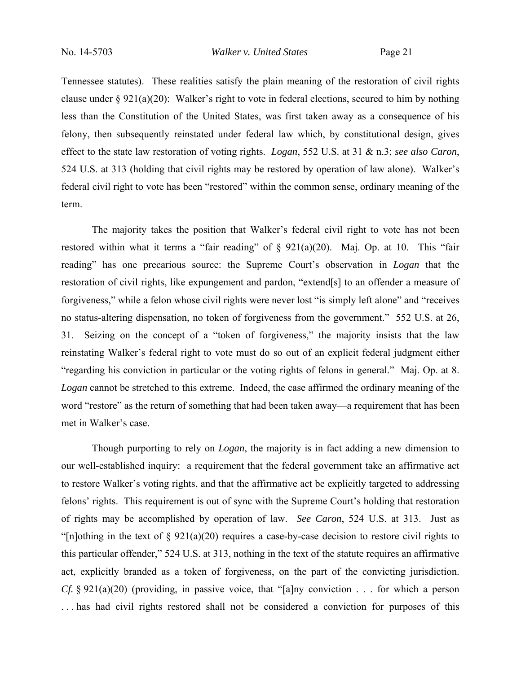Tennessee statutes). These realities satisfy the plain meaning of the restoration of civil rights clause under § 921(a)(20): Walker's right to vote in federal elections, secured to him by nothing less than the Constitution of the United States, was first taken away as a consequence of his felony, then subsequently reinstated under federal law which, by constitutional design, gives effect to the state law restoration of voting rights. *Logan*, 552 U.S. at 31 & n.3; *see also Caron*, 524 U.S. at 313 (holding that civil rights may be restored by operation of law alone). Walker's federal civil right to vote has been "restored" within the common sense, ordinary meaning of the term.

 The majority takes the position that Walker's federal civil right to vote has not been restored within what it terms a "fair reading" of  $\S$  921(a)(20). Maj. Op. at 10. This "fair reading" has one precarious source: the Supreme Court's observation in *Logan* that the restoration of civil rights, like expungement and pardon, "extend[s] to an offender a measure of forgiveness," while a felon whose civil rights were never lost "is simply left alone" and "receives no status-altering dispensation, no token of forgiveness from the government." 552 U.S. at 26, 31. Seizing on the concept of a "token of forgiveness," the majority insists that the law reinstating Walker's federal right to vote must do so out of an explicit federal judgment either "regarding his conviction in particular or the voting rights of felons in general." Maj. Op. at 8. *Logan* cannot be stretched to this extreme. Indeed, the case affirmed the ordinary meaning of the word "restore" as the return of something that had been taken away—a requirement that has been met in Walker's case.

 Though purporting to rely on *Logan*, the majority is in fact adding a new dimension to our well-established inquiry: a requirement that the federal government take an affirmative act to restore Walker's voting rights, and that the affirmative act be explicitly targeted to addressing felons' rights. This requirement is out of sync with the Supreme Court's holding that restoration of rights may be accomplished by operation of law. *See Caron*, 524 U.S. at 313. Just as "[n]othing in the text of  $\S$  921(a)(20) requires a case-by-case decision to restore civil rights to this particular offender," 524 U.S. at 313, nothing in the text of the statute requires an affirmative act, explicitly branded as a token of forgiveness, on the part of the convicting jurisdiction. *Cf.* § 921(a)(20) (providing, in passive voice, that "[a]ny conviction . . . for which a person ... has had civil rights restored shall not be considered a conviction for purposes of this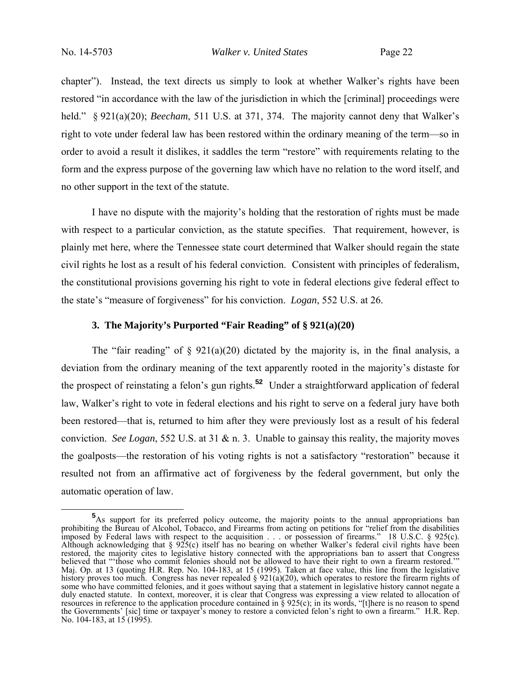chapter"). Instead, the text directs us simply to look at whether Walker's rights have been restored "in accordance with the law of the jurisdiction in which the [criminal] proceedings were held." § 921(a)(20); *Beecham*, 511 U.S. at 371, 374. The majority cannot deny that Walker's right to vote under federal law has been restored within the ordinary meaning of the term—so in order to avoid a result it dislikes, it saddles the term "restore" with requirements relating to the form and the express purpose of the governing law which have no relation to the word itself, and no other support in the text of the statute.

 I have no dispute with the majority's holding that the restoration of rights must be made with respect to a particular conviction, as the statute specifies. That requirement, however, is plainly met here, where the Tennessee state court determined that Walker should regain the state civil rights he lost as a result of his federal conviction. Consistent with principles of federalism, the constitutional provisions governing his right to vote in federal elections give federal effect to the state's "measure of forgiveness" for his conviction. *Logan*, 552 U.S. at 26.

# **3. The Majority's Purported "Fair Reading" of § 921(a)(20)**

The "fair reading" of  $\S$  921(a)(20) dictated by the majority is, in the final analysis, a deviation from the ordinary meaning of the text apparently rooted in the majority's distaste for the prospect of reinstating a felon's gun rights.**<sup>52</sup>** Under a straightforward application of federal law, Walker's right to vote in federal elections and his right to serve on a federal jury have both been restored—that is, returned to him after they were previously lost as a result of his federal conviction. *See Logan*, 552 U.S. at 31 & n. 3. Unable to gainsay this reality, the majority moves the goalposts—the restoration of his voting rights is not a satisfactory "restoration" because it resulted not from an affirmative act of forgiveness by the federal government, but only the automatic operation of law.

**<sup>5</sup>** <sup>5</sup>As support for its preferred policy outcome, the majority points to the annual appropriations ban prohibiting the Bureau of Alcohol, Tobacco, and Firearms from acting on petitions for "relief from the disabilities imposed by Federal laws with respect to the acquisition . . . or possession of firearms." 18 U.S.C. § 925(c). Although acknowledging that § 925(c) itself has no bearing on whether Walker's federal civil rights have been restored, the majority cites to legislative history connected with the appropriations ban to assert that Congress believed that "'those who commit felonies should not be allowed to have their right to own a firearm restored.'" Maj. Op. at 13 (quoting H.R. Rep. No. 104-183, at 15 (1995). Taken at face value, this line from the legislative history proves too much. Congress has never repealed  $\S 921(a)(20)$ , which operates to restore the firearm rights of some who have committed felonies, and it goes without saying that a statement in legislative history cannot negate a duly enacted statute. In context, moreover, it is clear that Congress was expressing a view related to allocation of resources in reference to the application procedure contained in § 925(c); in its words, "[t]here is no reason to spend the Governments' [sic] time or taxpayer's money to restore a convicted felon's right to own a firearm." H.R. Rep. No. 104-183, at 15 (1995).